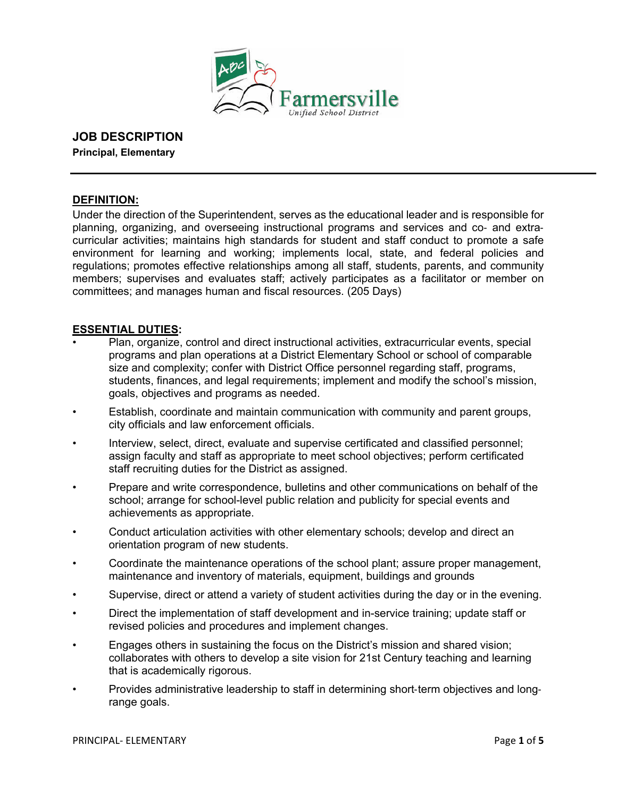

# **JOB DESCRIPTION**

**Principal, Elementary** 

## **DEFINITION:**

Under the direction of the Superintendent, serves as the educational leader and is responsible for planning, organizing, and overseeing instructional programs and services and co- and extracurricular activities; maintains high standards for student and staff conduct to promote a safe environment for learning and working; implements local, state, and federal policies and regulations; promotes effective relationships among all staff, students, parents, and community members; supervises and evaluates staff; actively participates as a facilitator or member on committees; and manages human and fiscal resources. (205 Days)

## **ESSENTIAL DUTIES:**

- Plan, organize, control and direct instructional activities, extracurricular events, special programs and plan operations at a District Elementary School or school of comparable size and complexity; confer with District Office personnel regarding staff, programs, students, finances, and legal requirements; implement and modify the school's mission, goals, objectives and programs as needed.
- Establish, coordinate and maintain communication with community and parent groups, city officials and law enforcement officials.
- Interview, select, direct, evaluate and supervise certificated and classified personnel; assign faculty and staff as appropriate to meet school objectives; perform certificated staff recruiting duties for the District as assigned.
- Prepare and write correspondence, bulletins and other communications on behalf of the school; arrange for school-level public relation and publicity for special events and achievements as appropriate.
- Conduct articulation activities with other elementary schools; develop and direct an orientation program of new students.
- Coordinate the maintenance operations of the school plant; assure proper management, maintenance and inventory of materials, equipment, buildings and grounds
- Supervise, direct or attend a variety of student activities during the day or in the evening.
- Direct the implementation of staff development and in-service training; update staff or revised policies and procedures and implement changes.
- Engages others in sustaining the focus on the District's mission and shared vision; collaborates with others to develop a site vision for 21st Century teaching and learning that is academically rigorous.
- Provides administrative leadership to staff in determining short-term objectives and longrange goals.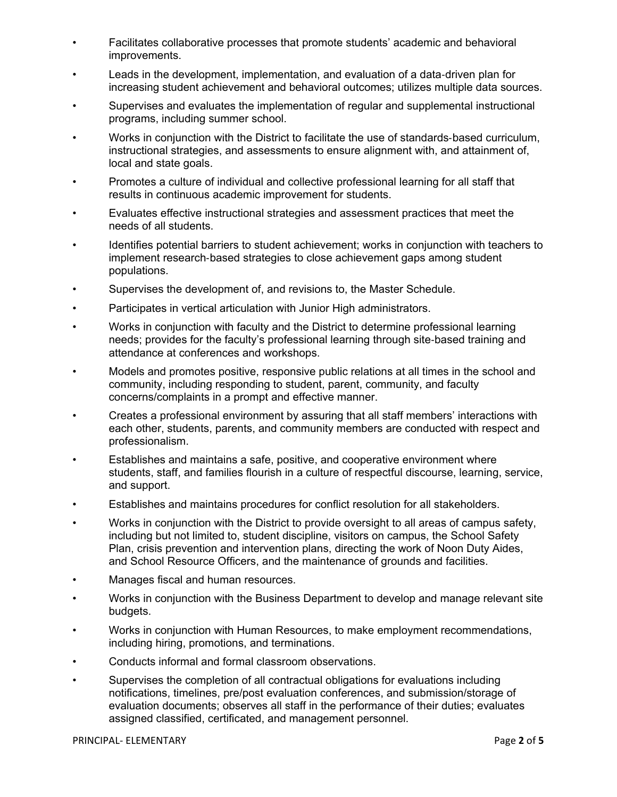- Facilitates collaborative processes that promote students' academic and behavioral improvements.
- Leads in the development, implementation, and evaluation of a data-driven plan for increasing student achievement and behavioral outcomes; utilizes multiple data sources.
- Supervises and evaluates the implementation of regular and supplemental instructional programs, including summer school.
- Works in conjunction with the District to facilitate the use of standards-based curriculum, instructional strategies, and assessments to ensure alignment with, and attainment of, local and state goals.
- Promotes a culture of individual and collective professional learning for all staff that results in continuous academic improvement for students.
- Evaluates effective instructional strategies and assessment practices that meet the needs of all students.
- Identifies potential barriers to student achievement; works in conjunction with teachers to implement research-based strategies to close achievement gaps among student populations.
- Supervises the development of, and revisions to, the Master Schedule.
- Participates in vertical articulation with Junior High administrators.
- Works in conjunction with faculty and the District to determine professional learning needs; provides for the faculty's professional learning through site-based training and attendance at conferences and workshops.
- Models and promotes positive, responsive public relations at all times in the school and community, including responding to student, parent, community, and faculty concerns/complaints in a prompt and effective manner.
- Creates a professional environment by assuring that all staff members' interactions with each other, students, parents, and community members are conducted with respect and professionalism.
- Establishes and maintains a safe, positive, and cooperative environment where students, staff, and families flourish in a culture of respectful discourse, learning, service, and support.
- Establishes and maintains procedures for conflict resolution for all stakeholders.
- Works in conjunction with the District to provide oversight to all areas of campus safety, including but not limited to, student discipline, visitors on campus, the School Safety Plan, crisis prevention and intervention plans, directing the work of Noon Duty Aides, and School Resource Officers, and the maintenance of grounds and facilities.
- Manages fiscal and human resources.
- Works in conjunction with the Business Department to develop and manage relevant site budgets.
- Works in conjunction with Human Resources, to make employment recommendations, including hiring, promotions, and terminations.
- Conducts informal and formal classroom observations.
- Supervises the completion of all contractual obligations for evaluations including notifications, timelines, pre/post evaluation conferences, and submission/storage of evaluation documents; observes all staff in the performance of their duties; evaluates assigned classified, certificated, and management personnel.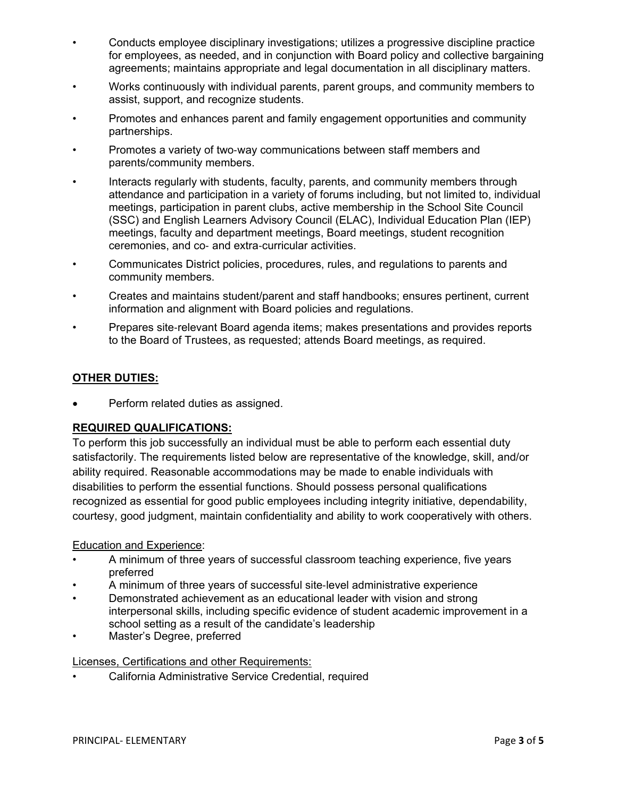- Conducts employee disciplinary investigations; utilizes a progressive discipline practice for employees, as needed, and in conjunction with Board policy and collective bargaining agreements; maintains appropriate and legal documentation in all disciplinary matters.
- Works continuously with individual parents, parent groups, and community members to assist, support, and recognize students.
- Promotes and enhances parent and family engagement opportunities and community partnerships.
- Promotes a variety of two-way communications between staff members and parents/community members.
- Interacts regularly with students, faculty, parents, and community members through attendance and participation in a variety of forums including, but not limited to, individual meetings, participation in parent clubs, active membership in the School Site Council (SSC) and English Learners Advisory Council (ELAC), Individual Education Plan (IEP) meetings, faculty and department meetings, Board meetings, student recognition ceremonies, and co- and extra-curricular activities.
- Communicates District policies, procedures, rules, and regulations to parents and community members.
- Creates and maintains student/parent and staff handbooks; ensures pertinent, current information and alignment with Board policies and regulations.
- Prepares site-relevant Board agenda items; makes presentations and provides reports to the Board of Trustees, as requested; attends Board meetings, as required.

# **OTHER DUTIES:**

Perform related duties as assigned.

# **REQUIRED QUALIFICATIONS:**

To perform this job successfully an individual must be able to perform each essential duty satisfactorily. The requirements listed below are representative of the knowledge, skill, and/or ability required. Reasonable accommodations may be made to enable individuals with disabilities to perform the essential functions. Should possess personal qualifications recognized as essential for good public employees including integrity initiative, dependability, courtesy, good judgment, maintain confidentiality and ability to work cooperatively with others.

#### Education and Experience:

- A minimum of three years of successful classroom teaching experience, five years preferred
- A minimum of three years of successful site-level administrative experience
- Demonstrated achievement as an educational leader with vision and strong interpersonal skills, including specific evidence of student academic improvement in a school setting as a result of the candidate's leadership
- Master's Degree, preferred

#### Licenses, Certifications and other Requirements:

• California Administrative Service Credential, required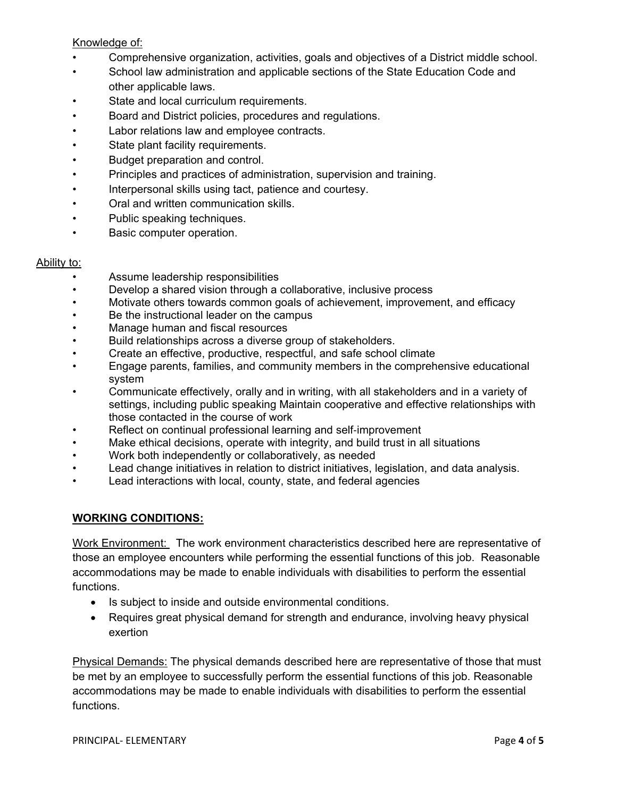## Knowledge of:

- Comprehensive organization, activities, goals and objectives of a District middle school.
- School law administration and applicable sections of the State Education Code and other applicable laws.
- State and local curriculum requirements.
- Board and District policies, procedures and regulations.
- Labor relations law and employee contracts.
- State plant facility requirements.
- Budget preparation and control.
- Principles and practices of administration, supervision and training.
- Interpersonal skills using tact, patience and courtesy.
- Oral and written communication skills.
- Public speaking techniques.
- Basic computer operation.

## Ability to:

- Assume leadership responsibilities
- Develop a shared vision through a collaborative, inclusive process
- Motivate others towards common goals of achievement, improvement, and efficacy
- Be the instructional leader on the campus
- Manage human and fiscal resources
- Build relationships across a diverse group of stakeholders.
- Create an effective, productive, respectful, and safe school climate
- Engage parents, families, and community members in the comprehensive educational system
- Communicate effectively, orally and in writing, with all stakeholders and in a variety of settings, including public speaking Maintain cooperative and effective relationships with those contacted in the course of work
- Reflect on continual professional learning and self-improvement
- Make ethical decisions, operate with integrity, and build trust in all situations
- Work both independently or collaboratively, as needed
- Lead change initiatives in relation to district initiatives, legislation, and data analysis.
- Lead interactions with local, county, state, and federal agencies

# **WORKING CONDITIONS:**

Work Environment: The work environment characteristics described here are representative of those an employee encounters while performing the essential functions of this job. Reasonable accommodations may be made to enable individuals with disabilities to perform the essential functions.

- Is subject to inside and outside environmental conditions.
- Requires great physical demand for strength and endurance, involving heavy physical exertion

Physical Demands: The physical demands described here are representative of those that must be met by an employee to successfully perform the essential functions of this job. Reasonable accommodations may be made to enable individuals with disabilities to perform the essential functions.